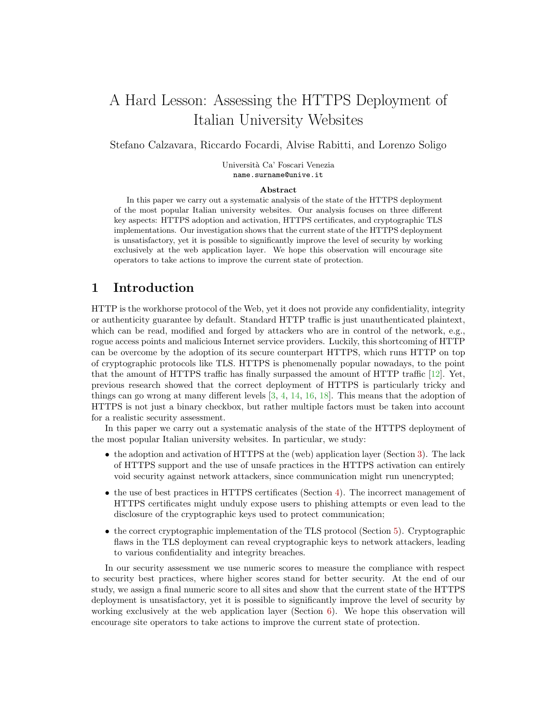# A Hard Lesson: Assessing the HTTPS Deployment of Italian University Websites

Stefano Calzavara, Riccardo Focardi, Alvise Rabitti, and Lorenzo Soligo

Università Ca' Foscari Venezia name.surname@unive.it

#### Abstract

In this paper we carry out a systematic analysis of the state of the HTTPS deployment of the most popular Italian university websites. Our analysis focuses on three different key aspects: HTTPS adoption and activation, HTTPS certificates, and cryptographic TLS implementations. Our investigation shows that the current state of the HTTPS deployment is unsatisfactory, yet it is possible to significantly improve the level of security by working exclusively at the web application layer. We hope this observation will encourage site operators to take actions to improve the current state of protection.

### 1 Introduction

HTTP is the workhorse protocol of the Web, yet it does not provide any confidentiality, integrity or authenticity guarantee by default. Standard HTTP traffic is just unauthenticated plaintext, which can be read, modified and forged by attackers who are in control of the network, e.g., rogue access points and malicious Internet service providers. Luckily, this shortcoming of HTTP can be overcome by the adoption of its secure counterpart HTTPS, which runs HTTP on top of cryptographic protocols like TLS. HTTPS is phenomenally popular nowadays, to the point that the amount of HTTPS traffic has finally surpassed the amount of HTTP traffic [\[12\]](#page-10-0). Yet, previous research showed that the correct deployment of HTTPS is particularly tricky and things can go wrong at many different levels [\[3,](#page-10-1) [4,](#page-10-2) [14,](#page-10-3) [16,](#page-11-0) [18\]](#page-11-1). This means that the adoption of HTTPS is not just a binary checkbox, but rather multiple factors must be taken into account for a realistic security assessment.

In this paper we carry out a systematic analysis of the state of the HTTPS deployment of the most popular Italian university websites. In particular, we study:

- the adoption and activation of HTTPS at the (web) application layer (Section [3\)](#page-2-0). The lack of HTTPS support and the use of unsafe practices in the HTTPS activation can entirely void security against network attackers, since communication might run unencrypted;
- the use of best practices in HTTPS certificates (Section [4\)](#page-4-0). The incorrect management of HTTPS certificates might unduly expose users to phishing attempts or even lead to the disclosure of the cryptographic keys used to protect communication;
- the correct cryptographic implementation of the TLS protocol (Section [5\)](#page-6-0). Cryptographic flaws in the TLS deployment can reveal cryptographic keys to network attackers, leading to various confidentiality and integrity breaches.

In our security assessment we use numeric scores to measure the compliance with respect to security best practices, where higher scores stand for better security. At the end of our study, we assign a final numeric score to all sites and show that the current state of the HTTPS deployment is unsatisfactory, yet it is possible to significantly improve the level of security by working exclusively at the web application layer (Section [6\)](#page-8-0). We hope this observation will encourage site operators to take actions to improve the current state of protection.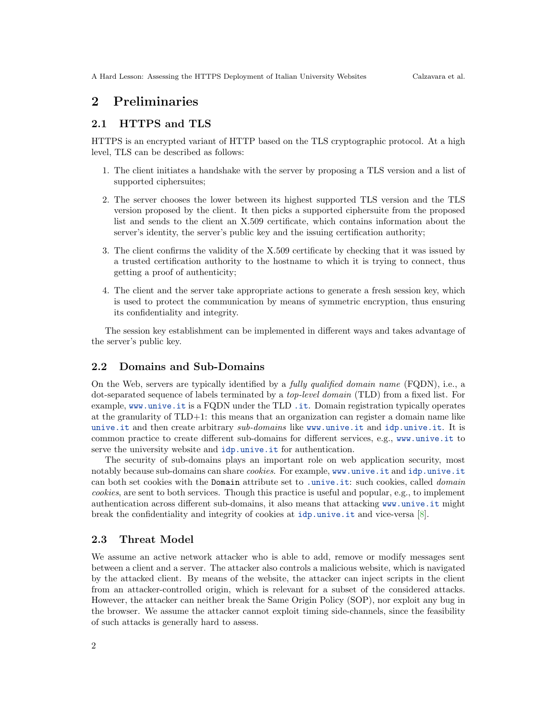# 2 Preliminaries

#### 2.1 HTTPS and TLS

HTTPS is an encrypted variant of HTTP based on the TLS cryptographic protocol. At a high level, TLS can be described as follows:

- 1. The client initiates a handshake with the server by proposing a TLS version and a list of supported ciphersuites;
- 2. The server chooses the lower between its highest supported TLS version and the TLS version proposed by the client. It then picks a supported ciphersuite from the proposed list and sends to the client an X.509 certificate, which contains information about the server's identity, the server's public key and the issuing certification authority;
- 3. The client confirms the validity of the X.509 certificate by checking that it was issued by a trusted certification authority to the hostname to which it is trying to connect, thus getting a proof of authenticity;
- 4. The client and the server take appropriate actions to generate a fresh session key, which is used to protect the communication by means of symmetric encryption, thus ensuring its confidentiality and integrity.

The session key establishment can be implemented in different ways and takes advantage of the server's public key.

### 2.2 Domains and Sub-Domains

On the Web, servers are typically identified by a fully qualified domain name (FQDN), i.e., a dot-separated sequence of labels terminated by a top-level domain (TLD) from a fixed list. For example, <www.unive.it> is a FQDN under the TLD <.it>. Domain registration typically operates at the granularity of TLD+1: this means that an organization can register a domain name like <unive.it> and then create arbitrary sub-domains like <www.unive.it> and <idp.unive.it>. It is common practice to create different sub-domains for different services, e.g., <www.unive.it> to serve the university website and <idp.unive.it> for authentication.

The security of sub-domains plays an important role on web application security, most notably because sub-domains can share cookies. For example, <www.unive.it> and <idp.unive.it> can both set cookies with the Domain attribute set to <.unive.it>: such cookies, called *domain* cookies, are sent to both services. Though this practice is useful and popular, e.g., to implement authentication across different sub-domains, it also means that attacking <www.unive.it> might break the confidentiality and integrity of cookies at <idp.unive.it> and vice-versa [\[8\]](#page-10-4).

#### 2.3 Threat Model

We assume an active network attacker who is able to add, remove or modify messages sent between a client and a server. The attacker also controls a malicious website, which is navigated by the attacked client. By means of the website, the attacker can inject scripts in the client from an attacker-controlled origin, which is relevant for a subset of the considered attacks. However, the attacker can neither break the Same Origin Policy (SOP), nor exploit any bug in the browser. We assume the attacker cannot exploit timing side-channels, since the feasibility of such attacks is generally hard to assess.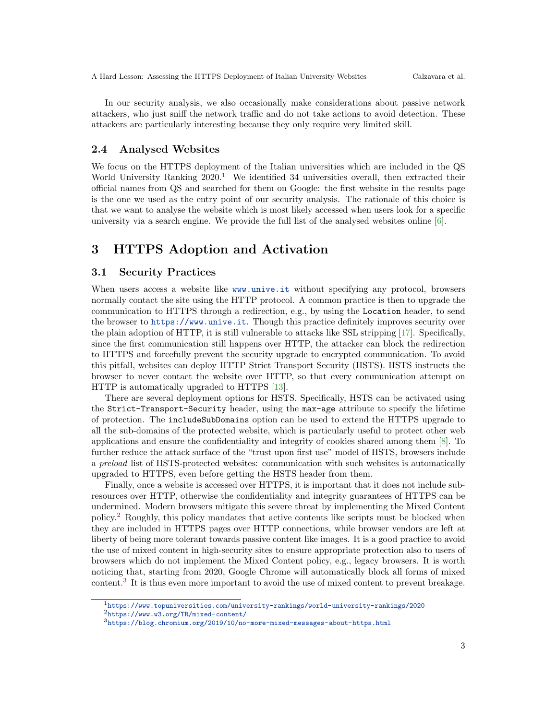In our security analysis, we also occasionally make considerations about passive network attackers, who just sniff the network traffic and do not take actions to avoid detection. These attackers are particularly interesting because they only require very limited skill.

#### 2.4 Analysed Websites

We focus on the HTTPS deployment of the Italian universities which are included in the QS World University Ranking  $2020<sup>1</sup>$  $2020<sup>1</sup>$  $2020<sup>1</sup>$  We identified 34 universities overall, then extracted their official names from QS and searched for them on Google: the first website in the results page is the one we used as the entry point of our security analysis. The rationale of this choice is that we want to analyse the website which is most likely accessed when users look for a specific university via a search engine. We provide the full list of the analysed websites online  $[6]$ .

# <span id="page-2-0"></span>3 HTTPS Adoption and Activation

#### 3.1 Security Practices

When users access a website like <www.unive.it> without specifying any protocol, browsers normally contact the site using the HTTP protocol. A common practice is then to upgrade the communication to HTTPS through a redirection, e.g., by using the Location header, to send the browser to <https://www.unive.it>. Though this practice definitely improves security over the plain adoption of HTTP, it is still vulnerable to attacks like SSL stripping [\[17\]](#page-11-2). Specifically, since the first communication still happens over HTTP, the attacker can block the redirection to HTTPS and forcefully prevent the security upgrade to encrypted communication. To avoid this pitfall, websites can deploy HTTP Strict Transport Security (HSTS). HSTS instructs the browser to never contact the website over HTTP, so that every communication attempt on HTTP is automatically upgraded to HTTPS [\[13\]](#page-10-6).

There are several deployment options for HSTS. Specifically, HSTS can be activated using the Strict-Transport-Security header, using the max-age attribute to specify the lifetime of protection. The includeSubDomains option can be used to extend the HTTPS upgrade to all the sub-domains of the protected website, which is particularly useful to protect other web applications and ensure the confidentiality and integrity of cookies shared among them [\[8\]](#page-10-4). To further reduce the attack surface of the "trust upon first use" model of HSTS, browsers include a preload list of HSTS-protected websites: communication with such websites is automatically upgraded to HTTPS, even before getting the HSTS header from them.

Finally, once a website is accessed over HTTPS, it is important that it does not include subresources over HTTP, otherwise the confidentiality and integrity guarantees of HTTPS can be undermined. Modern browsers mitigate this severe threat by implementing the Mixed Content policy.[2](#page-2-2) Roughly, this policy mandates that active contents like scripts must be blocked when they are included in HTTPS pages over HTTP connections, while browser vendors are left at liberty of being more tolerant towards passive content like images. It is a good practice to avoid the use of mixed content in high-security sites to ensure appropriate protection also to users of browsers which do not implement the Mixed Content policy, e.g., legacy browsers. It is worth noticing that, starting from 2020, Google Chrome will automatically block all forms of mixed content.[3](#page-2-3) It is thus even more important to avoid the use of mixed content to prevent breakage.

<span id="page-2-2"></span><span id="page-2-1"></span><sup>1</sup><https://www.topuniversities.com/university-rankings/world-university-rankings/2020> <sup>2</sup><https://www.w3.org/TR/mixed-content/>

<span id="page-2-3"></span> $^3{\tt \small https://blog.chromium.org/2019/10/no-more-mixed-messages-about-https.html}$  $^3{\tt \small https://blog.chromium.org/2019/10/no-more-mixed-messages-about-https.html}$  $^3{\tt \small https://blog.chromium.org/2019/10/no-more-mixed-messages-about-https.html}$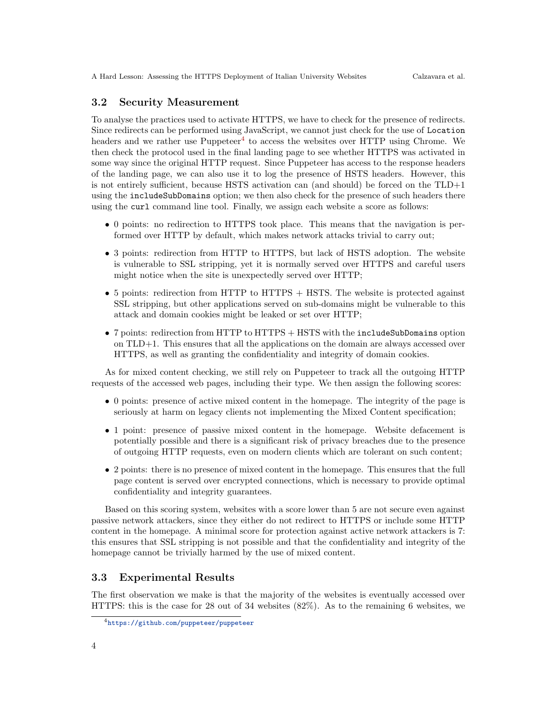#### 3.2 Security Measurement

To analyse the practices used to activate HTTPS, we have to check for the presence of redirects. Since redirects can be performed using JavaScript, we cannot just check for the use of Location headers and we rather use  $P$ uppeteer<sup>[4](#page-3-0)</sup> to access the websites over HTTP using Chrome. We then check the protocol used in the final landing page to see whether HTTPS was activated in some way since the original HTTP request. Since Puppeteer has access to the response headers of the landing page, we can also use it to log the presence of HSTS headers. However, this is not entirely sufficient, because HSTS activation can (and should) be forced on the TLD+1 using the includeSubDomains option; we then also check for the presence of such headers there using the curl command line tool. Finally, we assign each website a score as follows:

- 0 points: no redirection to HTTPS took place. This means that the navigation is performed over HTTP by default, which makes network attacks trivial to carry out;
- 3 points: redirection from HTTP to HTTPS, but lack of HSTS adoption. The website is vulnerable to SSL stripping, yet it is normally served over HTTPS and careful users might notice when the site is unexpectedly served over HTTP;
- 5 points: redirection from HTTP to HTTPS + HSTS. The website is protected against SSL stripping, but other applications served on sub-domains might be vulnerable to this attack and domain cookies might be leaked or set over HTTP;
- 7 points: redirection from HTTP to HTTPS + HSTS with the includeSubDomains option on TLD+1. This ensures that all the applications on the domain are always accessed over HTTPS, as well as granting the confidentiality and integrity of domain cookies.

As for mixed content checking, we still rely on Puppeteer to track all the outgoing HTTP requests of the accessed web pages, including their type. We then assign the following scores:

- 0 points: presence of active mixed content in the homepage. The integrity of the page is seriously at harm on legacy clients not implementing the Mixed Content specification;
- 1 point: presence of passive mixed content in the homepage. Website defacement is potentially possible and there is a significant risk of privacy breaches due to the presence of outgoing HTTP requests, even on modern clients which are tolerant on such content;
- 2 points: there is no presence of mixed content in the homepage. This ensures that the full page content is served over encrypted connections, which is necessary to provide optimal confidentiality and integrity guarantees.

Based on this scoring system, websites with a score lower than 5 are not secure even against passive network attackers, since they either do not redirect to HTTPS or include some HTTP content in the homepage. A minimal score for protection against active network attackers is 7: this ensures that SSL stripping is not possible and that the confidentiality and integrity of the homepage cannot be trivially harmed by the use of mixed content.

#### 3.3 Experimental Results

The first observation we make is that the majority of the websites is eventually accessed over HTTPS: this is the case for 28 out of 34 websites (82%). As to the remaining 6 websites, we

<span id="page-3-0"></span><sup>4</sup><https://github.com/puppeteer/puppeteer>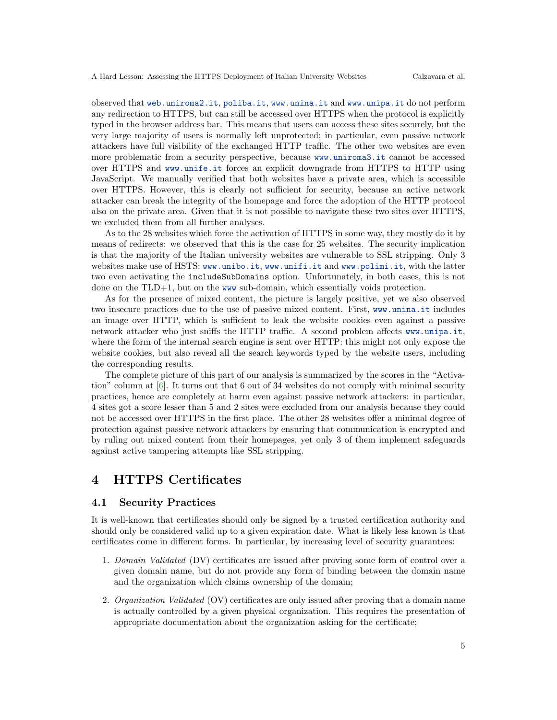observed that <web.uniroma2.it>, <poliba.it>, <www.unina.it> and <www.unipa.it> do not perform any redirection to HTTPS, but can still be accessed over HTTPS when the protocol is explicitly typed in the browser address bar. This means that users can access these sites securely, but the very large majority of users is normally left unprotected; in particular, even passive network attackers have full visibility of the exchanged HTTP traffic. The other two websites are even more problematic from a security perspective, because <www.uniroma3.it> cannot be accessed over HTTPS and <www.unife.it> forces an explicit downgrade from HTTPS to HTTP using JavaScript. We manually verified that both websites have a private area, which is accessible over HTTPS. However, this is clearly not sufficient for security, because an active network attacker can break the integrity of the homepage and force the adoption of the HTTP protocol also on the private area. Given that it is not possible to navigate these two sites over HTTPS, we excluded them from all further analyses.

As to the 28 websites which force the activation of HTTPS in some way, they mostly do it by means of redirects: we observed that this is the case for 25 websites. The security implication is that the majority of the Italian university websites are vulnerable to SSL stripping. Only 3 websites make use of HSTS: <www.unibo.it>, <www.unifi.it> and <www.polimi.it>, with the latter two even activating the includeSubDomains option. Unfortunately, in both cases, this is not done on the TLD+1, but on the <www> sub-domain, which essentially voids protection.

As for the presence of mixed content, the picture is largely positive, yet we also observed two insecure practices due to the use of passive mixed content. First, <www.unina.it> includes an image over HTTP, which is sufficient to leak the website cookies even against a passive network attacker who just sniffs the HTTP traffic. A second problem affects <www.unipa.it>, where the form of the internal search engine is sent over HTTP: this might not only expose the website cookies, but also reveal all the search keywords typed by the website users, including the corresponding results.

The complete picture of this part of our analysis is summarized by the scores in the "Activation" column at [\[6\]](#page-10-5). It turns out that 6 out of 34 websites do not comply with minimal security practices, hence are completely at harm even against passive network attackers: in particular, 4 sites got a score lesser than 5 and 2 sites were excluded from our analysis because they could not be accessed over HTTPS in the first place. The other 28 websites offer a minimal degree of protection against passive network attackers by ensuring that communication is encrypted and by ruling out mixed content from their homepages, yet only 3 of them implement safeguards against active tampering attempts like SSL stripping.

### <span id="page-4-0"></span>4 HTTPS Certificates

#### 4.1 Security Practices

It is well-known that certificates should only be signed by a trusted certification authority and should only be considered valid up to a given expiration date. What is likely less known is that certificates come in different forms. In particular, by increasing level of security guarantees:

- 1. Domain Validated (DV) certificates are issued after proving some form of control over a given domain name, but do not provide any form of binding between the domain name and the organization which claims ownership of the domain;
- 2. Organization Validated (OV) certificates are only issued after proving that a domain name is actually controlled by a given physical organization. This requires the presentation of appropriate documentation about the organization asking for the certificate;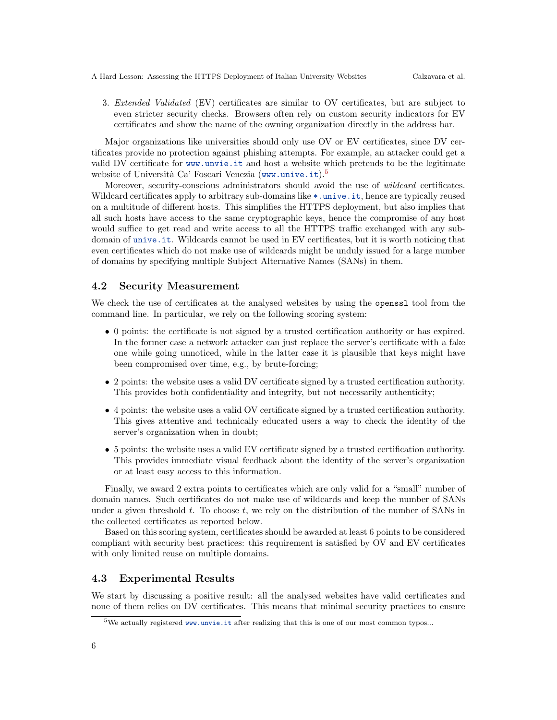3. Extended Validated (EV) certificates are similar to OV certificates, but are subject to even stricter security checks. Browsers often rely on custom security indicators for EV certificates and show the name of the owning organization directly in the address bar.

Major organizations like universities should only use OV or EV certificates, since DV certificates provide no protection against phishing attempts. For example, an attacker could get a valid DV certificate for <www.unvie.it> and host a website which pretends to be the legitimate website of Università Ca' Foscari Venezia (<www.unive.it>).<sup>[5](#page-5-0)</sup>

Moreover, security-conscious administrators should avoid the use of *wildcard* certificates. Wildcard certificates apply to arbitrary sub-domains like  $*$ . unive. it, hence are typically reused on a multitude of different hosts. This simplifies the HTTPS deployment, but also implies that all such hosts have access to the same cryptographic keys, hence the compromise of any host would suffice to get read and write access to all the HTTPS traffic exchanged with any subdomain of <unive.it>. Wildcards cannot be used in EV certificates, but it is worth noticing that even certificates which do not make use of wildcards might be unduly issued for a large number of domains by specifying multiple Subject Alternative Names (SANs) in them.

#### 4.2 Security Measurement

We check the use of certificates at the analysed websites by using the openssl tool from the command line. In particular, we rely on the following scoring system:

- 0 points: the certificate is not signed by a trusted certification authority or has expired. In the former case a network attacker can just replace the server's certificate with a fake one while going unnoticed, while in the latter case it is plausible that keys might have been compromised over time, e.g., by brute-forcing;
- 2 points: the website uses a valid DV certificate signed by a trusted certification authority. This provides both confidentiality and integrity, but not necessarily authenticity;
- 4 points: the website uses a valid OV certificate signed by a trusted certification authority. This gives attentive and technically educated users a way to check the identity of the server's organization when in doubt;
- 5 points: the website uses a valid EV certificate signed by a trusted certification authority. This provides immediate visual feedback about the identity of the server's organization or at least easy access to this information.

Finally, we award 2 extra points to certificates which are only valid for a "small" number of domain names. Such certificates do not make use of wildcards and keep the number of SANs under a given threshold  $t$ . To choose  $t$ , we rely on the distribution of the number of SANs in the collected certificates as reported below.

Based on this scoring system, certificates should be awarded at least 6 points to be considered compliant with security best practices: this requirement is satisfied by OV and EV certificates with only limited reuse on multiple domains.

#### 4.3 Experimental Results

We start by discussing a positive result: all the analysed websites have valid certificates and none of them relies on DV certificates. This means that minimal security practices to ensure

<span id="page-5-0"></span> $5$ We actually registered <www.unvie.it> after realizing that this is one of our most common typos...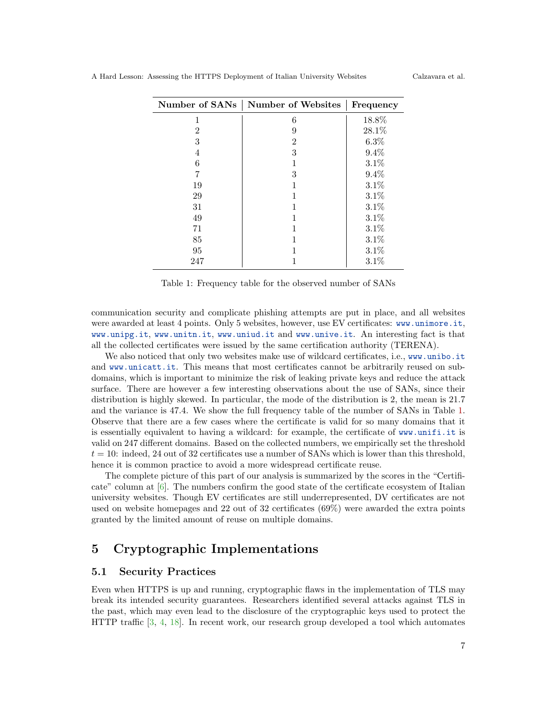| Number of SANs | <b>Number of Websites</b> | Frequency |
|----------------|---------------------------|-----------|
| 1              | 6                         | 18.8%     |
| 2              | 9                         | 28.1%     |
| 3              | $\overline{2}$            | 6.3%      |
| 4              | 3                         | 9.4%      |
| 6              |                           | 3.1%      |
|                | 3                         | 9.4%      |
| 19             |                           | 3.1%      |
| 29             |                           | 3.1%      |
| 31             |                           | 3.1%      |
| 49             |                           | 3.1%      |
| 71             |                           | 3.1%      |
| 85             |                           | 3.1%      |
| 95             |                           | $3.1\%$   |
| 247            |                           | 3.1%      |

<span id="page-6-1"></span>Table 1: Frequency table for the observed number of SANs

communication security and complicate phishing attempts are put in place, and all websites were awarded at least 4 points. Only 5 websites, however, use EV certificates: <www.unimore.it>, <www.unipg.it>, <www.unitn.it>, <www.uniud.it> and <www.unive.it>. An interesting fact is that all the collected certificates were issued by the same certification authority (TERENA).

We also noticed that only two websites make use of wildcard certificates, i.e., <www.unibo.it> and <www.unicatt.it>. This means that most certificates cannot be arbitrarily reused on subdomains, which is important to minimize the risk of leaking private keys and reduce the attack surface. There are however a few interesting observations about the use of SANs, since their distribution is highly skewed. In particular, the mode of the distribution is 2, the mean is 21.7 and the variance is 47.4. We show the full frequency table of the number of SANs in Table [1.](#page-6-1) Observe that there are a few cases where the certificate is valid for so many domains that it is essentially equivalent to having a wildcard: for example, the certificate of <www.unifi.it> is valid on 247 different domains. Based on the collected numbers, we empirically set the threshold  $t = 10$ : indeed, 24 out of 32 certificates use a number of SANs which is lower than this threshold, hence it is common practice to avoid a more widespread certificate reuse.

The complete picture of this part of our analysis is summarized by the scores in the "Certificate" column at [\[6\]](#page-10-5). The numbers confirm the good state of the certificate ecosystem of Italian university websites. Though EV certificates are still underrepresented, DV certificates are not used on website homepages and 22 out of 32 certificates (69%) were awarded the extra points granted by the limited amount of reuse on multiple domains.

# <span id="page-6-0"></span>5 Cryptographic Implementations

#### 5.1 Security Practices

Even when HTTPS is up and running, cryptographic flaws in the implementation of TLS may break its intended security guarantees. Researchers identified several attacks against TLS in the past, which may even lead to the disclosure of the cryptographic keys used to protect the HTTP traffic [\[3,](#page-10-1) [4,](#page-10-2) [18\]](#page-11-1). In recent work, our research group developed a tool which automates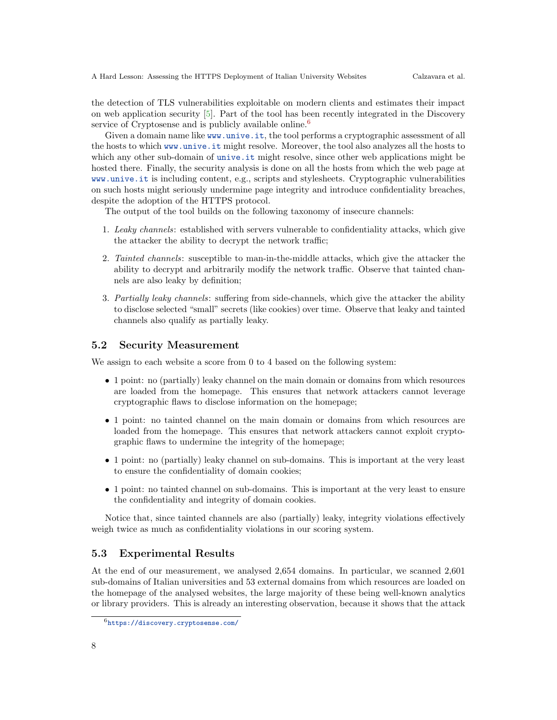the detection of TLS vulnerabilities exploitable on modern clients and estimates their impact on web application security [\[5\]](#page-10-7). Part of the tool has been recently integrated in the Discovery service of Cryptosense and is publicly available online.<sup>[6](#page-7-0)</sup>

Given a domain name like <www.unive.it>, the tool performs a cryptographic assessment of all the hosts to which <www.unive.it> might resolve. Moreover, the tool also analyzes all the hosts to which any other sub-domain of <unive.it> might resolve, since other web applications might be hosted there. Finally, the security analysis is done on all the hosts from which the web page at <www.unive.it> is including content, e.g., scripts and stylesheets. Cryptographic vulnerabilities on such hosts might seriously undermine page integrity and introduce confidentiality breaches, despite the adoption of the HTTPS protocol.

The output of the tool builds on the following taxonomy of insecure channels:

- 1. Leaky channels: established with servers vulnerable to confidentiality attacks, which give the attacker the ability to decrypt the network traffic;
- 2. Tainted channels: susceptible to man-in-the-middle attacks, which give the attacker the ability to decrypt and arbitrarily modify the network traffic. Observe that tainted channels are also leaky by definition;
- 3. Partially leaky channels: suffering from side-channels, which give the attacker the ability to disclose selected "small" secrets (like cookies) over time. Observe that leaky and tainted channels also qualify as partially leaky.

#### 5.2 Security Measurement

We assign to each website a score from 0 to 4 based on the following system:

- 1 point: no (partially) leaky channel on the main domain or domains from which resources are loaded from the homepage. This ensures that network attackers cannot leverage cryptographic flaws to disclose information on the homepage;
- 1 point: no tainted channel on the main domain or domains from which resources are loaded from the homepage. This ensures that network attackers cannot exploit cryptographic flaws to undermine the integrity of the homepage;
- 1 point: no (partially) leaky channel on sub-domains. This is important at the very least to ensure the confidentiality of domain cookies;
- 1 point: no tainted channel on sub-domains. This is important at the very least to ensure the confidentiality and integrity of domain cookies.

Notice that, since tainted channels are also (partially) leaky, integrity violations effectively weigh twice as much as confidentiality violations in our scoring system.

#### 5.3 Experimental Results

At the end of our measurement, we analysed 2,654 domains. In particular, we scanned 2,601 sub-domains of Italian universities and 53 external domains from which resources are loaded on the homepage of the analysed websites, the large majority of these being well-known analytics or library providers. This is already an interesting observation, because it shows that the attack

<span id="page-7-0"></span><sup>6</sup><https://discovery.cryptosense.com/>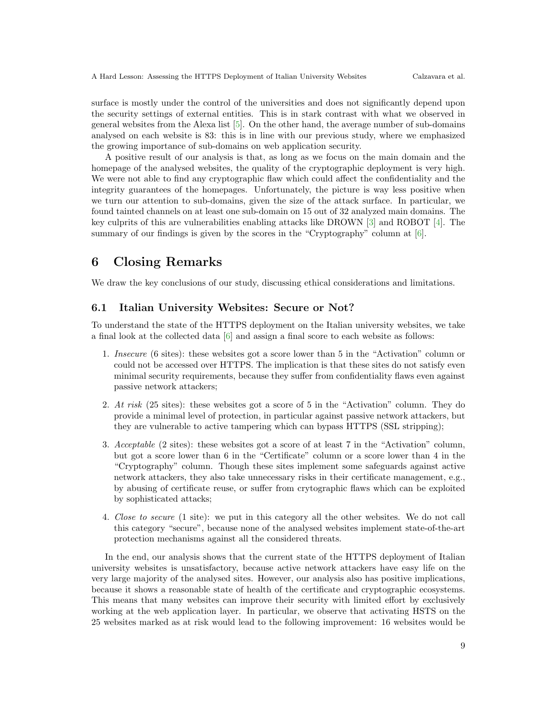A Hard Lesson: Assessing the HTTPS Deployment of Italian University Websites Calzavara et al.

surface is mostly under the control of the universities and does not significantly depend upon the security settings of external entities. This is in stark contrast with what we observed in general websites from the Alexa list [\[5\]](#page-10-7). On the other hand, the average number of sub-domains analysed on each website is 83: this is in line with our previous study, where we emphasized the growing importance of sub-domains on web application security.

A positive result of our analysis is that, as long as we focus on the main domain and the homepage of the analysed websites, the quality of the cryptographic deployment is very high. We were not able to find any cryptographic flaw which could affect the confidentiality and the integrity guarantees of the homepages. Unfortunately, the picture is way less positive when we turn our attention to sub-domains, given the size of the attack surface. In particular, we found tainted channels on at least one sub-domain on 15 out of 32 analyzed main domains. The key culprits of this are vulnerabilities enabling attacks like DROWN [\[3\]](#page-10-1) and ROBOT [\[4\]](#page-10-2). The summary of our findings is given by the scores in the "Cryptography" column at [\[6\]](#page-10-5).

# <span id="page-8-0"></span>6 Closing Remarks

We draw the key conclusions of our study, discussing ethical considerations and limitations.

#### 6.1 Italian University Websites: Secure or Not?

To understand the state of the HTTPS deployment on the Italian university websites, we take a final look at the collected data [\[6\]](#page-10-5) and assign a final score to each website as follows:

- 1. Insecure (6 sites): these websites got a score lower than 5 in the "Activation" column or could not be accessed over HTTPS. The implication is that these sites do not satisfy even minimal security requirements, because they suffer from confidentiality flaws even against passive network attackers;
- 2. At risk (25 sites): these websites got a score of 5 in the "Activation" column. They do provide a minimal level of protection, in particular against passive network attackers, but they are vulnerable to active tampering which can bypass HTTPS (SSL stripping);
- 3. Acceptable (2 sites): these websites got a score of at least 7 in the "Activation" column, but got a score lower than 6 in the "Certificate" column or a score lower than 4 in the "Cryptography" column. Though these sites implement some safeguards against active network attackers, they also take unnecessary risks in their certificate management, e.g., by abusing of certificate reuse, or suffer from crytographic flaws which can be exploited by sophisticated attacks;
- 4. Close to secure (1 site): we put in this category all the other websites. We do not call this category "secure", because none of the analysed websites implement state-of-the-art protection mechanisms against all the considered threats.

In the end, our analysis shows that the current state of the HTTPS deployment of Italian university websites is unsatisfactory, because active network attackers have easy life on the very large majority of the analysed sites. However, our analysis also has positive implications, because it shows a reasonable state of health of the certificate and cryptographic ecosystems. This means that many websites can improve their security with limited effort by exclusively working at the web application layer. In particular, we observe that activating HSTS on the 25 websites marked as at risk would lead to the following improvement: 16 websites would be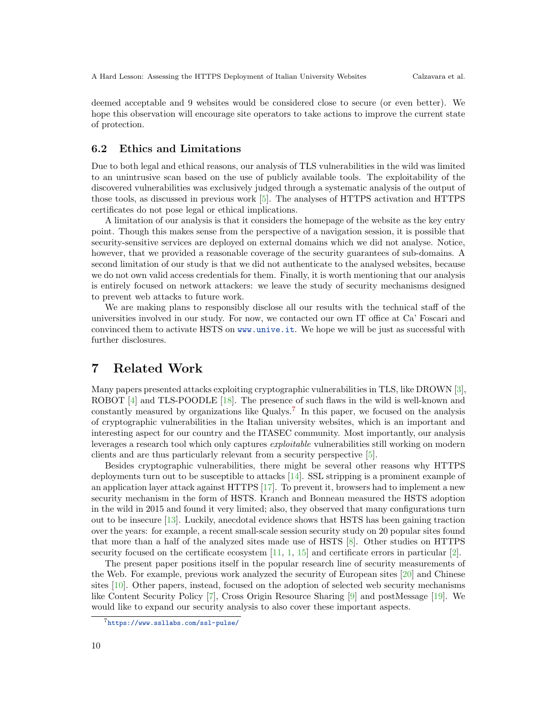deemed acceptable and 9 websites would be considered close to secure (or even better). We hope this observation will encourage site operators to take actions to improve the current state of protection.

#### 6.2 Ethics and Limitations

Due to both legal and ethical reasons, our analysis of TLS vulnerabilities in the wild was limited to an unintrusive scan based on the use of publicly available tools. The exploitability of the discovered vulnerabilities was exclusively judged through a systematic analysis of the output of those tools, as discussed in previous work [\[5\]](#page-10-7). The analyses of HTTPS activation and HTTPS certificates do not pose legal or ethical implications.

A limitation of our analysis is that it considers the homepage of the website as the key entry point. Though this makes sense from the perspective of a navigation session, it is possible that security-sensitive services are deployed on external domains which we did not analyse. Notice, however, that we provided a reasonable coverage of the security guarantees of sub-domains. A second limitation of our study is that we did not authenticate to the analysed websites, because we do not own valid access credentials for them. Finally, it is worth mentioning that our analysis is entirely focused on network attackers: we leave the study of security mechanisms designed to prevent web attacks to future work.

We are making plans to responsibly disclose all our results with the technical staff of the universities involved in our study. For now, we contacted our own IT office at Ca' Foscari and convinced them to activate HSTS on <www.unive.it>. We hope we will be just as successful with further disclosures.

### 7 Related Work

Many papers presented attacks exploiting cryptographic vulnerabilities in TLS, like DROWN [\[3\]](#page-10-1), ROBOT [\[4\]](#page-10-2) and TLS-POODLE [\[18\]](#page-11-1). The presence of such flaws in the wild is well-known and constantly measured by organizations like Qualys.<sup>[7](#page-9-0)</sup> In this paper, we focused on the analysis of cryptographic vulnerabilities in the Italian university websites, which is an important and interesting aspect for our country and the ITASEC community. Most importantly, our analysis leverages a research tool which only captures exploitable vulnerabilities still working on modern clients and are thus particularly relevant from a security perspective [\[5\]](#page-10-7).

Besides cryptographic vulnerabilities, there might be several other reasons why HTTPS deployments turn out to be susceptible to attacks [\[14\]](#page-10-3). SSL stripping is a prominent example of an application layer attack against HTTPS [\[17\]](#page-11-2). To prevent it, browsers had to implement a new security mechanism in the form of HSTS. Kranch and Bonneau measured the HSTS adoption in the wild in 2015 and found it very limited; also, they observed that many configurations turn out to be insecure [\[13\]](#page-10-6). Luckily, anecdotal evidence shows that HSTS has been gaining traction over the years: for example, a recent small-scale session security study on 20 popular sites found that more than a half of the analyzed sites made use of HSTS [\[8\]](#page-10-4). Other studies on HTTPS security focused on the certificate ecosystem  $[11, 1, 15]$  $[11, 1, 15]$  $[11, 1, 15]$  $[11, 1, 15]$  $[11, 1, 15]$  and certificate errors in particular  $[2]$ .

The present paper positions itself in the popular research line of security measurements of the Web. For example, previous work analyzed the security of European sites [\[20\]](#page-11-4) and Chinese sites [\[10\]](#page-10-11). Other papers, instead, focused on the adoption of selected web security mechanisms like Content Security Policy [\[7\]](#page-10-12), Cross Origin Resource Sharing [\[9\]](#page-10-13) and postMessage [\[19\]](#page-11-5). We would like to expand our security analysis to also cover these important aspects.

<span id="page-9-0"></span><sup>7</sup><https://www.ssllabs.com/ssl-pulse/>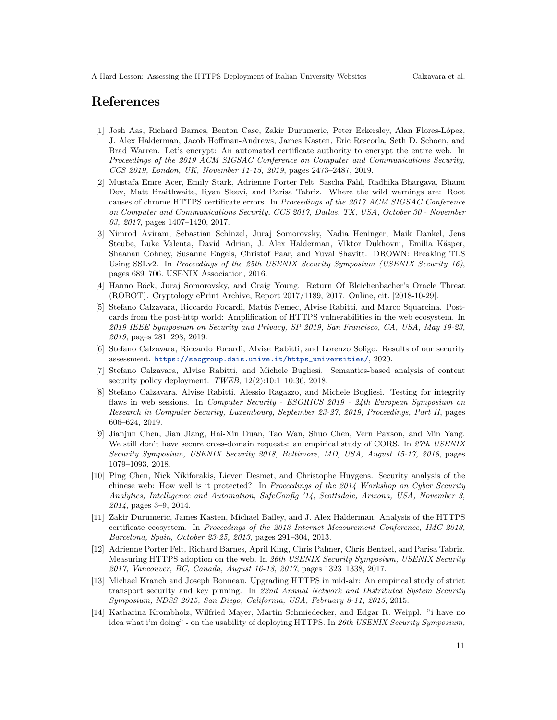### References

- <span id="page-10-9"></span>[1] Josh Aas, Richard Barnes, Benton Case, Zakir Durumeric, Peter Eckersley, Alan Flores-López, J. Alex Halderman, Jacob Hoffman-Andrews, James Kasten, Eric Rescorla, Seth D. Schoen, and Brad Warren. Let's encrypt: An automated certificate authority to encrypt the entire web. In Proceedings of the 2019 ACM SIGSAC Conference on Computer and Communications Security, CCS 2019, London, UK, November 11-15, 2019, pages 2473–2487, 2019.
- <span id="page-10-10"></span>[2] Mustafa Emre Acer, Emily Stark, Adrienne Porter Felt, Sascha Fahl, Radhika Bhargava, Bhanu Dev, Matt Braithwaite, Ryan Sleevi, and Parisa Tabriz. Where the wild warnings are: Root causes of chrome HTTPS certificate errors. In Proceedings of the 2017 ACM SIGSAC Conference on Computer and Communications Security, CCS 2017, Dallas, TX, USA, October 30 - November 03, 2017, pages 1407–1420, 2017.
- <span id="page-10-1"></span>[3] Nimrod Aviram, Sebastian Schinzel, Juraj Somorovsky, Nadia Heninger, Maik Dankel, Jens Steube, Luke Valenta, David Adrian, J. Alex Halderman, Viktor Dukhovni, Emilia Käsper, Shaanan Cohney, Susanne Engels, Christof Paar, and Yuval Shavitt. DROWN: Breaking TLS Using SSLv2. In Proceedings of the 25th USENIX Security Symposium (USENIX Security 16), pages 689–706. USENIX Association, 2016.
- <span id="page-10-2"></span>[4] Hanno Böck, Juraj Somorovsky, and Craig Young. Return Of Bleichenbacher's Oracle Threat (ROBOT). Cryptology ePrint Archive, Report 2017/1189, 2017. Online, cit. [2018-10-29].
- <span id="page-10-7"></span>[5] Stefano Calzavara, Riccardo Focardi, Matús Nemec, Alvise Rabitti, and Marco Squarcina. Postcards from the post-http world: Amplification of HTTPS vulnerabilities in the web ecosystem. In 2019 IEEE Symposium on Security and Privacy, SP 2019, San Francisco, CA, USA, May 19-23, 2019, pages 281–298, 2019.
- <span id="page-10-5"></span>[6] Stefano Calzavara, Riccardo Focardi, Alvise Rabitti, and Lorenzo Soligo. Results of our security assessment. [https://secgroup.dais.unive.it/https\\_universities/](https://secgroup.dais.unive.it/https_universities/), 2020.
- <span id="page-10-12"></span>[7] Stefano Calzavara, Alvise Rabitti, and Michele Bugliesi. Semantics-based analysis of content security policy deployment.  $TWEB$ ,  $12(2):10:1-10:36$ ,  $2018$ .
- <span id="page-10-4"></span>[8] Stefano Calzavara, Alvise Rabitti, Alessio Ragazzo, and Michele Bugliesi. Testing for integrity flaws in web sessions. In Computer Security - ESORICS 2019 - 24th European Symposium on Research in Computer Security, Luxembourg, September 23-27, 2019, Proceedings, Part II, pages 606–624, 2019.
- <span id="page-10-13"></span>[9] Jianjun Chen, Jian Jiang, Hai-Xin Duan, Tao Wan, Shuo Chen, Vern Paxson, and Min Yang. We still don't have secure cross-domain requests: an empirical study of CORS. In 27th USENIX Security Symposium, USENIX Security 2018, Baltimore, MD, USA, August 15-17, 2018, pages 1079–1093, 2018.
- <span id="page-10-11"></span>[10] Ping Chen, Nick Nikiforakis, Lieven Desmet, and Christophe Huygens. Security analysis of the chinese web: How well is it protected? In Proceedings of the 2014 Workshop on Cyber Security Analytics, Intelligence and Automation, SafeConfig '14, Scottsdale, Arizona, USA, November 3, 2014, pages 3–9, 2014.
- <span id="page-10-8"></span>[11] Zakir Durumeric, James Kasten, Michael Bailey, and J. Alex Halderman. Analysis of the HTTPS certificate ecosystem. In Proceedings of the 2013 Internet Measurement Conference, IMC 2013, Barcelona, Spain, October 23-25, 2013, pages 291–304, 2013.
- <span id="page-10-0"></span>[12] Adrienne Porter Felt, Richard Barnes, April King, Chris Palmer, Chris Bentzel, and Parisa Tabriz. Measuring HTTPS adoption on the web. In 26th USENIX Security Symposium, USENIX Security 2017, Vancouver, BC, Canada, August 16-18, 2017, pages 1323–1338, 2017.
- <span id="page-10-6"></span>[13] Michael Kranch and Joseph Bonneau. Upgrading HTTPS in mid-air: An empirical study of strict transport security and key pinning. In 22nd Annual Network and Distributed System Security Symposium, NDSS 2015, San Diego, California, USA, February 8-11, 2015, 2015.
- <span id="page-10-3"></span>[14] Katharina Krombholz, Wilfried Mayer, Martin Schmiedecker, and Edgar R. Weippl. "i have no idea what i'm doing" - on the usability of deploying HTTPS. In 26th USENIX Security Symposium,